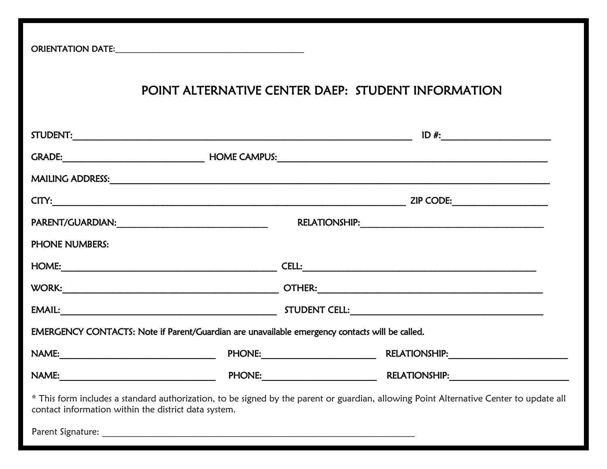ORIENTATION DATE**:**\_\_\_\_\_\_\_\_\_\_\_\_\_\_\_\_\_\_\_\_\_\_\_\_\_\_\_\_\_\_\_\_\_\_\_\_\_\_\_\_\_\_\_\_\_

## POINT ALTERNATIVE CENTER DAEP: STUDENT INFORMATION

| <b>PHONE NUMBERS:</b>                                                                          |                                                                                                                                        |
|------------------------------------------------------------------------------------------------|----------------------------------------------------------------------------------------------------------------------------------------|
|                                                                                                |                                                                                                                                        |
|                                                                                                | WORK: WORK: www.communication.com/works/works/works/works/works/works/works/works/works/works/works/works/works/                       |
|                                                                                                |                                                                                                                                        |
| EMERGENCY CONTACTS: Note if Parent/Guardian are unavailable emergency contacts will be called. |                                                                                                                                        |
|                                                                                                |                                                                                                                                        |
|                                                                                                |                                                                                                                                        |
| contact information within the district data system.                                           | * This form includes a standard authorization, to be signed by the parent or guardian, allowing Point Alternative Center to update all |
|                                                                                                |                                                                                                                                        |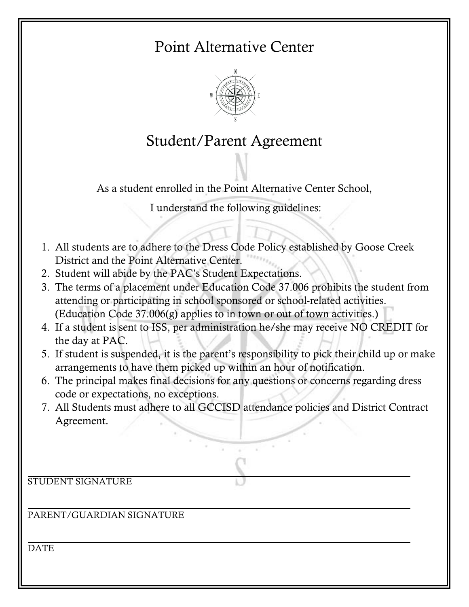# Point Alternative Center



# Student/Parent Agreement

As a student enrolled in the Point Alternative Center School,

I understand the following guidelines:

- 1. All students are to adhere to the Dress Code Policy established by Goose Creek District and the Point Alternative Center.
- 2. Student will abide by the PAC's Student Expectations.
- 3. The terms of a placement under Education Code 37.006 prohibits the student from attending or participating in school sponsored or school-related activities. (Education Code 37.006(g) applies to in town or out of town activities.)
- 4. If a student is sent to ISS, per administration he/she may receive NO CREDIT for the day at PAC.
- 5. If student is suspended, it is the parent's responsibility to pick their child up or make arrangements to have them picked up within an hour of notification.
- 6. The principal makes final decisions for any questions or concerns regarding dress code or expectations, no exceptions.
- 7. All Students must adhere to all GCCISD attendance policies and District Contract Agreement.

STUDENT SIGNATURE

PARENT/GUARDIAN SIGNATURE

**DATE**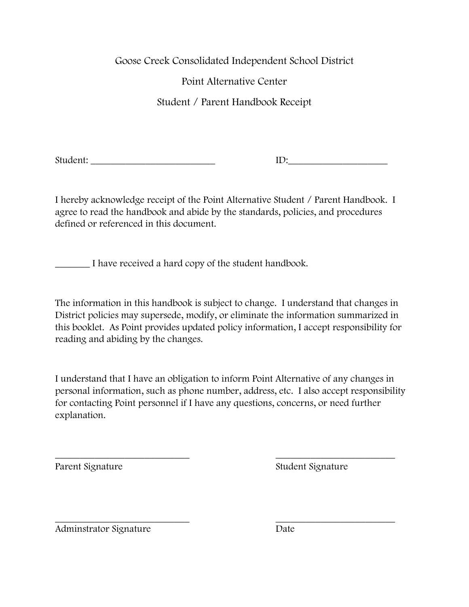Goose Creek Consolidated Independent School District

Point Alternative Center

Student / Parent Handbook Receipt

Student: \_\_\_\_\_\_\_\_\_\_\_\_\_\_\_\_\_\_\_\_\_\_\_\_\_ ID:\_\_\_\_\_\_\_\_\_\_\_\_\_\_\_\_\_\_\_\_

I hereby acknowledge receipt of the Point Alternative Student / Parent Handbook. I agree to read the handbook and abide by the standards, policies, and procedures defined or referenced in this document.

\_\_\_\_\_\_\_ I have received a hard copy of the student handbook.

The information in this handbook is subject to change. I understand that changes in District policies may supersede, modify, or eliminate the information summarized in this booklet. As Point provides updated policy information, I accept responsibility for reading and abiding by the changes.

I understand that I have an obligation to inform Point Alternative of any changes in personal information, such as phone number, address, etc. I also accept responsibility for contacting Point personnel if I have any questions, concerns, or need further explanation.

 $\overline{\phantom{a}}$  , and the contract of the contract of the contract of the contract of the contract of the contract of the contract of the contract of the contract of the contract of the contract of the contract of the contrac

Parent Signature Student Signature

 $\overline{\phantom{a}}$  , and the contract of the contract of the contract of the contract of the contract of the contract of the contract of the contract of the contract of the contract of the contract of the contract of the contrac Adminstrator Signature Date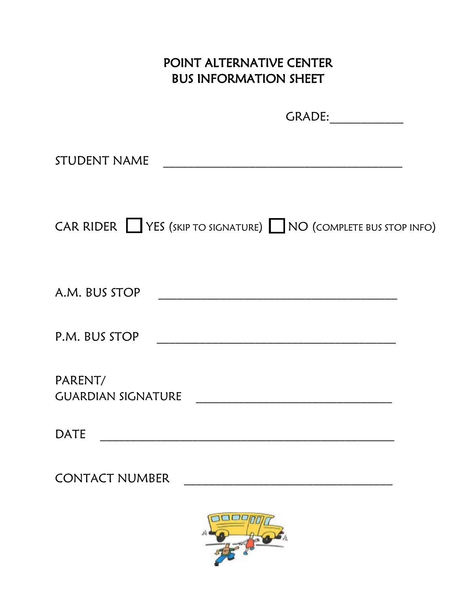## POINT ALTERNATIVE CENTER BUS INFORMATION SHEET

GRADE:\_\_\_\_\_\_\_\_\_\_\_\_ STUDENT NAME \_\_\_\_\_\_\_\_\_\_\_\_\_\_\_\_\_\_\_\_\_\_\_\_\_\_\_\_\_\_\_\_\_\_\_\_\_\_\_ CAR RIDER VES (SKIP TO SIGNATURE) NO (COMPLETE BUS STOP INFO) A.M. BUS STOP \_\_\_\_\_\_\_\_\_\_\_\_\_\_\_\_\_\_\_\_\_\_\_\_\_\_\_\_\_\_\_\_\_\_\_\_\_\_\_ P.M. BUS STOP \_\_\_\_\_\_\_\_\_\_\_\_\_\_\_\_\_\_\_\_\_\_\_\_\_\_\_\_\_\_\_\_\_\_\_\_\_\_\_

PARENT/ GUARDIAN SIGNATURE

DATE \_\_\_\_\_\_\_\_\_\_\_\_\_\_\_\_\_\_\_\_\_\_\_\_\_\_\_\_\_\_\_\_\_\_\_\_\_\_\_\_\_\_\_\_\_\_\_\_

CONTACT NUMBER \_\_\_\_\_\_\_\_\_\_\_\_\_\_\_\_\_\_\_\_\_\_\_\_\_\_\_\_\_\_\_\_\_\_

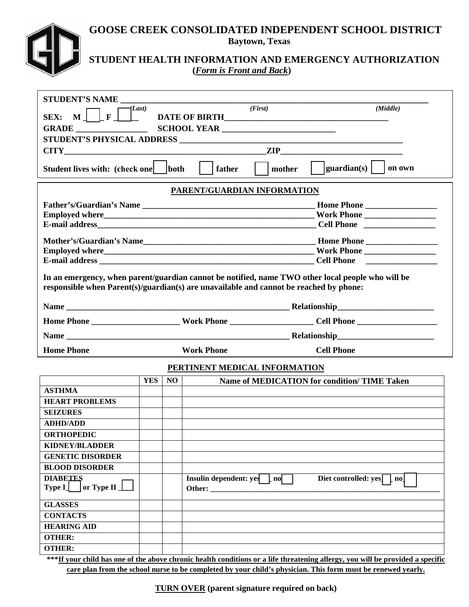#### **GOOSE CREEK CONSOLIDATED INDEPENDENT SCHOOL DISTRICT Baytown, Texas**



### **STUDENT HEALTH INFORMATION AND EMERGENCY AUTHORIZATION (***Form is Front and Back***)**

| STUDENT'S NAME                                                                                                                |            |    |                                                                                                   |                                                                                                                                                                                                              |  |  |  |
|-------------------------------------------------------------------------------------------------------------------------------|------------|----|---------------------------------------------------------------------------------------------------|--------------------------------------------------------------------------------------------------------------------------------------------------------------------------------------------------------------|--|--|--|
|                                                                                                                               | (Last)     |    | (First)                                                                                           | (Middle)                                                                                                                                                                                                     |  |  |  |
| SEX: $M \perp F \perp$                                                                                                        |            |    |                                                                                                   |                                                                                                                                                                                                              |  |  |  |
|                                                                                                                               |            |    |                                                                                                   |                                                                                                                                                                                                              |  |  |  |
|                                                                                                                               |            |    |                                                                                                   |                                                                                                                                                                                                              |  |  |  |
|                                                                                                                               |            |    | $CITY$ 2IP                                                                                        |                                                                                                                                                                                                              |  |  |  |
| $ $ guardian(s) $ $<br>Student lives with: (check one)   both<br>on own<br>$\vert$ father<br>mother                           |            |    |                                                                                                   |                                                                                                                                                                                                              |  |  |  |
| PARENT/GUARDIAN INFORMATION                                                                                                   |            |    |                                                                                                   |                                                                                                                                                                                                              |  |  |  |
|                                                                                                                               |            |    |                                                                                                   |                                                                                                                                                                                                              |  |  |  |
|                                                                                                                               |            |    |                                                                                                   |                                                                                                                                                                                                              |  |  |  |
|                                                                                                                               |            |    |                                                                                                   |                                                                                                                                                                                                              |  |  |  |
|                                                                                                                               |            |    |                                                                                                   |                                                                                                                                                                                                              |  |  |  |
|                                                                                                                               |            |    |                                                                                                   | Employed where <b>Employed where Employed where Employed where Employed where Employed where Employed where Employed where Employed where Employed where Employed where Employed where Employed where EM</b> |  |  |  |
|                                                                                                                               |            |    |                                                                                                   |                                                                                                                                                                                                              |  |  |  |
|                                                                                                                               |            |    |                                                                                                   |                                                                                                                                                                                                              |  |  |  |
|                                                                                                                               |            |    | In an emergency, when parent/guardian cannot be notified, name TWO other local people who will be |                                                                                                                                                                                                              |  |  |  |
|                                                                                                                               |            |    | responsible when Parent(s)/guardian(s) are unavailable and cannot be reached by phone:            |                                                                                                                                                                                                              |  |  |  |
|                                                                                                                               |            |    |                                                                                                   |                                                                                                                                                                                                              |  |  |  |
|                                                                                                                               |            |    |                                                                                                   |                                                                                                                                                                                                              |  |  |  |
|                                                                                                                               |            |    |                                                                                                   |                                                                                                                                                                                                              |  |  |  |
| <b>Home Phone</b>                                                                                                             |            |    | <b>Work Phone</b>                                                                                 | <b>Cell Phone</b>                                                                                                                                                                                            |  |  |  |
|                                                                                                                               |            |    | PERTINENT MEDICAL INFORMATION                                                                     |                                                                                                                                                                                                              |  |  |  |
|                                                                                                                               | <b>YES</b> | NO |                                                                                                   | Name of MEDICATION for condition/ TIME Taken                                                                                                                                                                 |  |  |  |
| <b>ASTHMA</b>                                                                                                                 |            |    |                                                                                                   |                                                                                                                                                                                                              |  |  |  |
| <b>HEART PROBLEMS</b>                                                                                                         |            |    |                                                                                                   |                                                                                                                                                                                                              |  |  |  |
| <b>SEIZURES</b>                                                                                                               |            |    |                                                                                                   |                                                                                                                                                                                                              |  |  |  |
| <b>ADHD/ADD</b>                                                                                                               |            |    |                                                                                                   |                                                                                                                                                                                                              |  |  |  |
| <b>ORTHOPEDIC</b>                                                                                                             |            |    |                                                                                                   |                                                                                                                                                                                                              |  |  |  |
| <b>KIDNEY/BLADDER</b>                                                                                                         |            |    |                                                                                                   |                                                                                                                                                                                                              |  |  |  |
| <b>GENETIC DISORDER</b>                                                                                                       |            |    |                                                                                                   |                                                                                                                                                                                                              |  |  |  |
| <b>BLOOD DISORDER</b>                                                                                                         |            |    |                                                                                                   |                                                                                                                                                                                                              |  |  |  |
| <b>DIABETES</b>                                                                                                               |            |    | Insulin dependent: yes [ no                                                                       | Diet controlled: yes <sup>[1]</sup> no                                                                                                                                                                       |  |  |  |
| or Type II<br><b>Type I_</b>                                                                                                  |            |    | Other: $\_\_$                                                                                     |                                                                                                                                                                                                              |  |  |  |
| <b>GLASSES</b>                                                                                                                |            |    |                                                                                                   |                                                                                                                                                                                                              |  |  |  |
| <b>CONTACTS</b>                                                                                                               |            |    |                                                                                                   |                                                                                                                                                                                                              |  |  |  |
| <b>HEARING AID</b>                                                                                                            |            |    |                                                                                                   |                                                                                                                                                                                                              |  |  |  |
| <b>OTHER:</b>                                                                                                                 |            |    |                                                                                                   |                                                                                                                                                                                                              |  |  |  |
| <b>OTHER:</b>                                                                                                                 |            |    |                                                                                                   |                                                                                                                                                                                                              |  |  |  |
| ***If your child has one of the above chronic health conditions or a life threatening allergy you will be provided a specific |            |    |                                                                                                   |                                                                                                                                                                                                              |  |  |  |

**\*\*\*If your child has one of the above chronic health conditions or a life threatening allergy, you will be provided a specific care plan from the school nurse to be completed by your child's physician. This form must be renewed yearly.**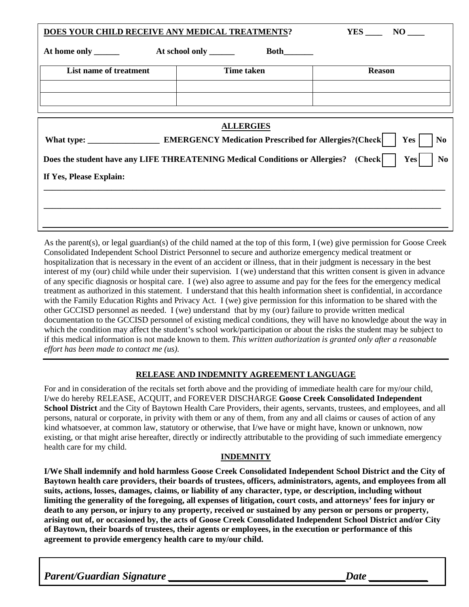| DOES YOUR CHILD RECEIVE ANY MEDICAL TREATMENTS?                                                                     | $YES$ NO $\qquad$ |               |  |  |  |
|---------------------------------------------------------------------------------------------------------------------|-------------------|---------------|--|--|--|
|                                                                                                                     |                   |               |  |  |  |
| List name of treatment                                                                                              | <b>Time taken</b> | <b>Reason</b> |  |  |  |
|                                                                                                                     |                   |               |  |  |  |
|                                                                                                                     |                   |               |  |  |  |
| <b>ALLERGIES</b>                                                                                                    |                   |               |  |  |  |
| Yes<br><b>No</b>                                                                                                    |                   |               |  |  |  |
| Does the student have any LIFE THREATENING Medical Conditions or Allergies? (Check)<br><b>Yes</b><br>N <sub>0</sub> |                   |               |  |  |  |
| If Yes, Please Explain:                                                                                             |                   |               |  |  |  |
|                                                                                                                     |                   |               |  |  |  |
|                                                                                                                     |                   |               |  |  |  |
|                                                                                                                     |                   |               |  |  |  |

As the parent(s), or legal guardian(s) of the child named at the top of this form, I (we) give permission for Goose Creek Consolidated Independent School District Personnel to secure and authorize emergency medical treatment or hospitalization that is necessary in the event of an accident or illness, that in their judgment is necessary in the best interest of my (our) child while under their supervision. I (we) understand that this written consent is given in advance of any specific diagnosis or hospital care. I (we) also agree to assume and pay for the fees for the emergency medical treatment as authorized in this statement. I understand that this health information sheet is confidential, in accordance with the Family Education Rights and Privacy Act. I (we) give permission for this information to be shared with the other GCCISD personnel as needed. I (we) understand that by my (our) failure to provide written medical documentation to the GCCISD personnel of existing medical conditions, they will have no knowledge about the way in which the condition may affect the student's school work/participation or about the risks the student may be subject to if this medical information is not made known to them. *This written authorization is granted only after a reasonable effort has been made to contact me (us).*

#### **RELEASE AND INDEMNITY AGREEMENT LANGUAGE**

For and in consideration of the recitals set forth above and the providing of immediate health care for my/our child, I/we do hereby RELEASE, ACQUIT, and FOREVER DISCHARGE **Goose Creek Consolidated Independent School District** and the City of Baytown Health Care Providers, their agents, servants, trustees, and employees, and all persons, natural or corporate, in privity with them or any of them, from any and all claims or causes of action of any kind whatsoever, at common law, statutory or otherwise, that I/we have or might have, known or unknown, now existing, or that might arise hereafter, directly or indirectly attributable to the providing of such immediate emergency health care for my child.

#### **INDEMNITY**

**I/We Shall indemnify and hold harmless Goose Creek Consolidated Independent School District and the City of Baytown health care providers, their boards of trustees, officers, administrators, agents, and employees from all suits, actions, losses, damages, claims, or liability of any character, type, or description, including without limiting the generality of the foregoing, all expenses of litigation, court costs, and attorneys' fees for injury or death to any person, or injury to any property, received or sustained by any person or persons or property, arising out of, or occasioned by, the acts of Goose Creek Consolidated Independent School District and/or City of Baytown, their boards of trustees, their agents or employees, in the execution or performance of this agreement to provide emergency health care to my/our child.**

Parent/Guardian Signature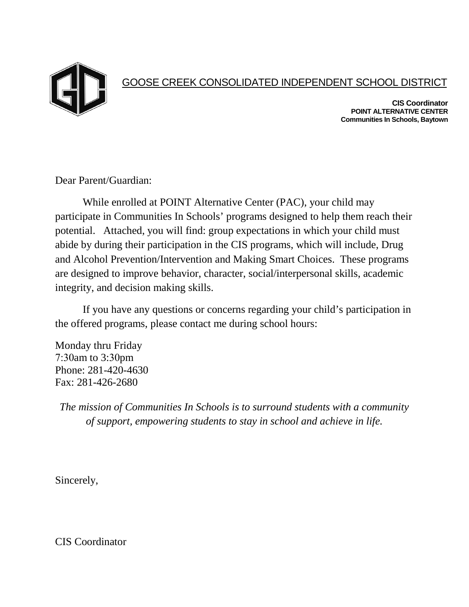

### GOOSE CREEK CONSOLIDATED INDEPENDENT SCHOOL DISTRICT

**CIS Coordinator POINT ALTERNATIVE CENTER Communities In Schools, Baytown**

Dear Parent/Guardian:

While enrolled at POINT Alternative Center (PAC), your child may participate in Communities In Schools' programs designed to help them reach their potential. Attached, you will find: group expectations in which your child must abide by during their participation in the CIS programs, which will include, Drug and Alcohol Prevention/Intervention and Making Smart Choices. These programs are designed to improve behavior, character, social/interpersonal skills, academic integrity, and decision making skills.

If you have any questions or concerns regarding your child's participation in the offered programs, please contact me during school hours:

Monday thru Friday 7:30am to 3:30pm Phone: 281-420-4630 Fax: 281-426-2680

*The mission of Communities In Schools is to surround students with a community of support, empowering students to stay in school and achieve in life.*

Sincerely,

CIS Coordinator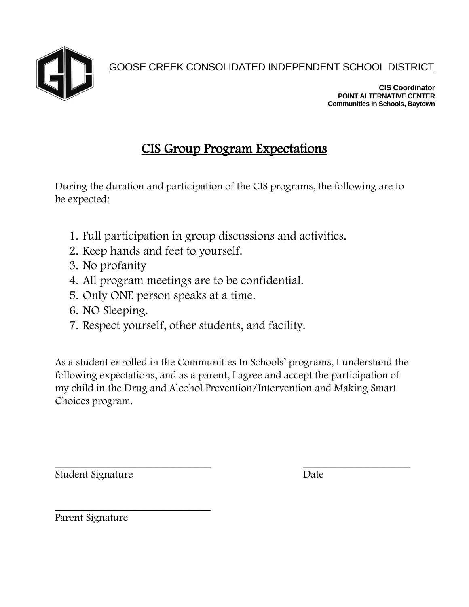GOOSE CREEK CONSOLIDATED INDEPENDENT SCHOOL DISTRICT

**CIS Coordinator POINT ALTERNATIVE CENTER Communities In Schools, Baytown**

## CIS Group Program Expectations

During the duration and participation of the CIS programs, the following are to be expected:

- 1. Full participation in group discussions and activities.
- 2. Keep hands and feet to yourself.
- 3. No profanity
- 4. All program meetings are to be confidential.
- 5. Only ONE person speaks at a time.
- 6. NO Sleeping.
- 7. Respect yourself, other students, and facility.

As a student enrolled in the Communities In Schools' programs, I understand the following expectations, and as a parent, I agree and accept the participation of my child in the Drug and Alcohol Prevention/Intervention and Making Smart Choices program.

 $\overline{\phantom{a}}$  , and the contract of the contract of the contract of the contract of the contract of the contract of the contract of the contract of the contract of the contract of the contract of the contract of the contrac Student Signature Date

\_\_\_\_\_\_\_\_\_\_\_\_\_\_\_\_\_\_\_\_\_\_\_\_\_\_\_\_\_ Parent Signature